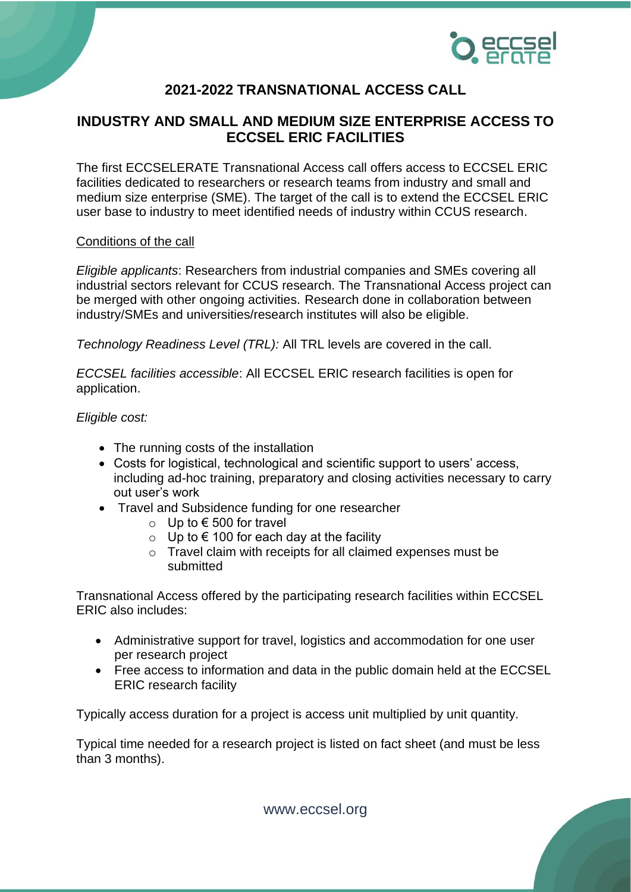

# **2021-2022 TRANSNATIONAL ACCESS CALL**

## **INDUSTRY AND SMALL AND MEDIUM SIZE ENTERPRISE ACCESS TO ECCSEL ERIC FACILITIES**

The first ECCSELERATE Transnational Access call offers access to ECCSEL ERIC facilities dedicated to researchers or research teams from industry and small and medium size enterprise (SME). The target of the call is to extend the ECCSEL ERIC user base to industry to meet identified needs of industry within CCUS research.

## Conditions of the call

*Eligible applicants*: Researchers from industrial companies and SMEs covering all industrial sectors relevant for CCUS research. The Transnational Access project can be merged with other ongoing activities. Research done in collaboration between industry/SMEs and universities/research institutes will also be eligible.

*Technology Readiness Level (TRL):* All TRL levels are covered in the call.

*ECCSEL facilities accessible*: All ECCSEL ERIC research facilities is open for application.

## *Eligible cost:*

- The running costs of the installation
- Costs for logistical, technological and scientific support to users' access, including ad-hoc training, preparatory and closing activities necessary to carry out user's work
- Travel and Subsidence funding for one researcher
	- o Up to € 500 for travel
	- o Up to € 100 for each day at the facility
	- o Travel claim with receipts for all claimed expenses must be submitted

Transnational Access offered by the participating research facilities within ECCSEL ERIC also includes:

- Administrative support for travel, logistics and accommodation for one user per research project
- Free access to information and data in the public domain held at the ECCSEL ERIC research facility

Typically access duration for a project is access unit multiplied by unit quantity.

Typical time needed for a research project is listed on fact sheet (and must be less than 3 months).

www.eccsel.org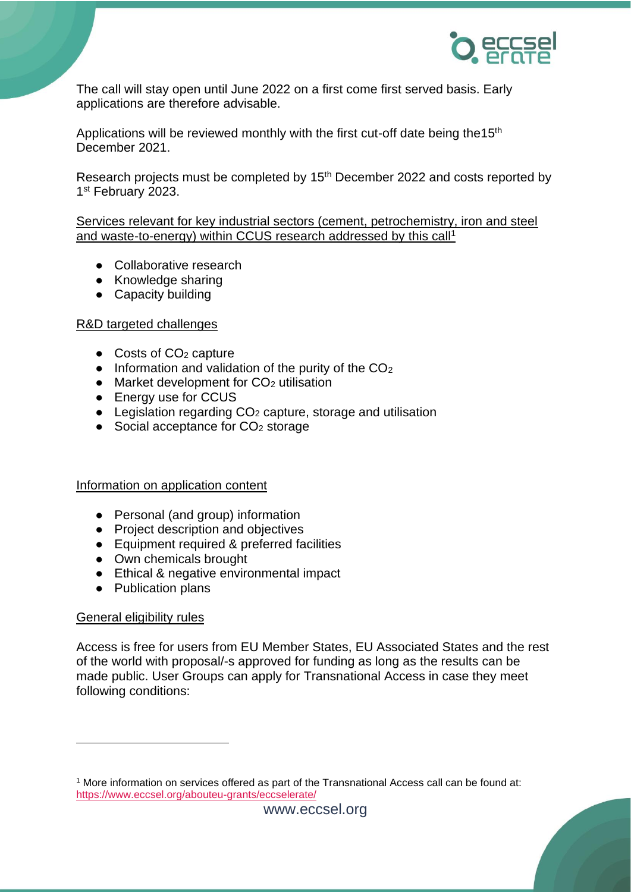

The call will stay open until June 2022 on a first come first served basis. Early applications are therefore advisable.

Applications will be reviewed monthly with the first cut-off date being the15<sup>th</sup> December 2021.

Research projects must be completed by 15<sup>th</sup> December 2022 and costs reported by 1<sup>st</sup> February 2023.

Services relevant for key industrial sectors (cement, petrochemistry, iron and steel and waste-to-energy) within CCUS research addressed by this call<sup>1</sup>

- Collaborative research
- Knowledge sharing
- Capacity building

## R&D targeted challenges

- Costs of CO<sub>2</sub> capture
- $\bullet$  Information and validation of the purity of the CO<sub>2</sub>
- $\bullet$  Market development for  $CO<sub>2</sub>$  utilisation
- Energy use for CCUS
- $\bullet$  Legislation regarding  $CO<sub>2</sub>$  capture, storage and utilisation
- Social acceptance for CO<sub>2</sub> storage

#### Information on application content

- Personal (and group) information
- Project description and objectives
- Equipment required & preferred facilities
- Own chemicals brought
- Ethical & negative environmental impact
- Publication plans

#### General eligibility rules

Access is free for users from EU Member States, EU Associated States and the rest of the world with proposal/-s approved for funding as long as the results can be made public. User Groups can apply for Transnational Access in case they meet following conditions:

<sup>1</sup> More information on services offered as part of the Transnational Access call can be found at: <https://www.eccsel.org/abouteu-grants/eccselerate/>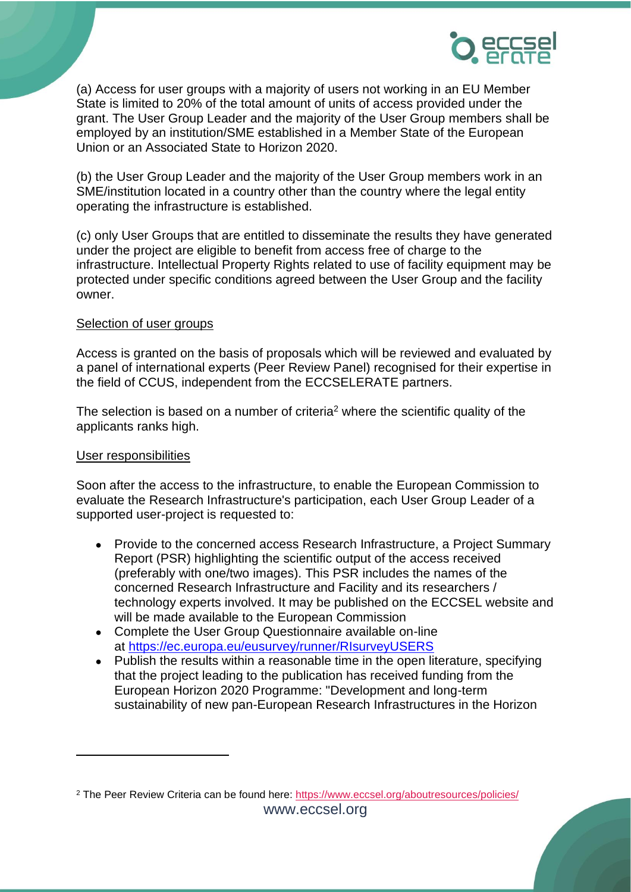

(a) Access for user groups with a majority of users not working in an EU Member State is limited to 20% of the total amount of units of access provided under the grant. The User Group Leader and the majority of the User Group members shall be employed by an institution/SME established in a Member State of the European Union or an Associated State to Horizon 2020.

(b) the User Group Leader and the majority of the User Group members work in an SME/institution located in a country other than the country where the legal entity operating the infrastructure is established.

(c) only User Groups that are entitled to disseminate the results they have generated under the project are eligible to benefit from access free of charge to the infrastructure. Intellectual Property Rights related to use of facility equipment may be protected under specific conditions agreed between the User Group and the facility owner.

## Selection of user groups

Access is granted on the basis of proposals which will be reviewed and evaluated by a panel of international experts (Peer Review Panel) recognised for their expertise in the field of CCUS, independent from the ECCSELERATE partners.

The selection is based on [a number of criteria](http://www.eccsel.org/Sections.aspx?section=554.561)<sup>2</sup> where the scientific quality of the applicants ranks high.

## User responsibilities

Soon after the access to the infrastructure, to enable the European Commission to evaluate the Research Infrastructure's participation, each User Group Leader of a supported user-project is requested to:

- Provide to the concerned access Research Infrastructure, a Project Summary Report (PSR) highlighting the scientific output of the access received (preferably with one/two images). This PSR includes the names of the concerned Research Infrastructure and Facility and its researchers / technology experts involved. It may be published on the ECCSEL website and will be made available to the European Commission
- Complete the User Group Questionnaire available on-line at <https://ec.europa.eu/eusurvey/runner/RIsurveyUSERS>
- Publish the results within a reasonable time in the open literature, specifying that the project leading to the publication has received funding from the European Horizon 2020 Programme: "Development and long-term sustainability of new pan-European Research Infrastructures in the Horizon

<sup>2</sup> The Peer Review Criteria can be found here:<https://www.eccsel.org/aboutresources/policies/>

www.eccsel.org